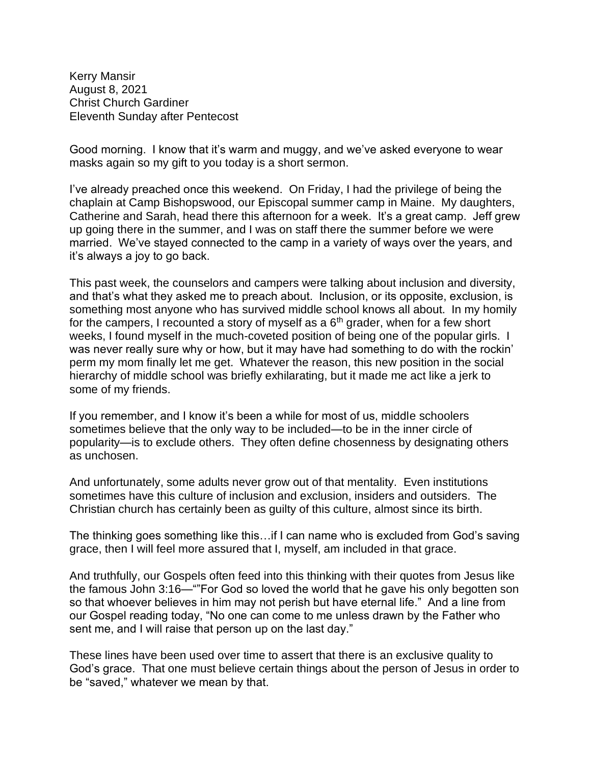Kerry Mansir August 8, 2021 Christ Church Gardiner Eleventh Sunday after Pentecost

Good morning. I know that it's warm and muggy, and we've asked everyone to wear masks again so my gift to you today is a short sermon.

I've already preached once this weekend. On Friday, I had the privilege of being the chaplain at Camp Bishopswood, our Episcopal summer camp in Maine. My daughters, Catherine and Sarah, head there this afternoon for a week. It's a great camp. Jeff grew up going there in the summer, and I was on staff there the summer before we were married. We've stayed connected to the camp in a variety of ways over the years, and it's always a joy to go back.

This past week, the counselors and campers were talking about inclusion and diversity, and that's what they asked me to preach about. Inclusion, or its opposite, exclusion, is something most anyone who has survived middle school knows all about. In my homily for the campers, I recounted a story of myself as a  $6<sup>th</sup>$  grader, when for a few short weeks, I found myself in the much-coveted position of being one of the popular girls. I was never really sure why or how, but it may have had something to do with the rockin' perm my mom finally let me get. Whatever the reason, this new position in the social hierarchy of middle school was briefly exhilarating, but it made me act like a jerk to some of my friends.

If you remember, and I know it's been a while for most of us, middle schoolers sometimes believe that the only way to be included—to be in the inner circle of popularity—is to exclude others. They often define chosenness by designating others as unchosen.

And unfortunately, some adults never grow out of that mentality. Even institutions sometimes have this culture of inclusion and exclusion, insiders and outsiders. The Christian church has certainly been as guilty of this culture, almost since its birth.

The thinking goes something like this…if I can name who is excluded from God's saving grace, then I will feel more assured that I, myself, am included in that grace.

And truthfully, our Gospels often feed into this thinking with their quotes from Jesus like the famous John 3:16—""For God so loved the world that he gave his only begotten son so that whoever believes in him may not perish but have eternal life." And a line from our Gospel reading today, "No one can come to me unless drawn by the Father who sent me, and I will raise that person up on the last day."

These lines have been used over time to assert that there is an exclusive quality to God's grace. That one must believe certain things about the person of Jesus in order to be "saved," whatever we mean by that.